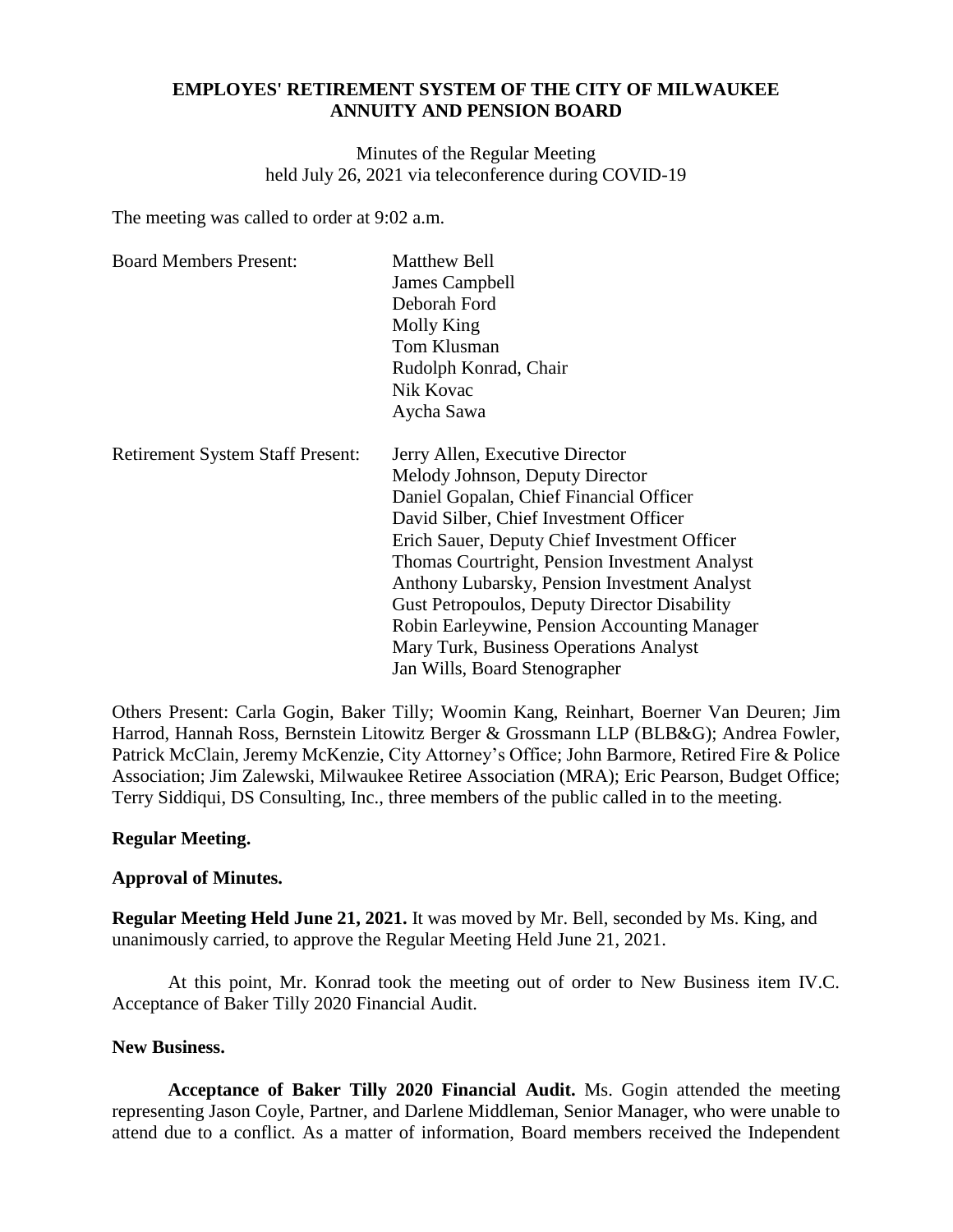## **EMPLOYES' RETIREMENT SYSTEM OF THE CITY OF MILWAUKEE ANNUITY AND PENSION BOARD**

Minutes of the Regular Meeting held July 26, 2021 via teleconference during COVID-19

The meeting was called to order at 9:02 a.m.

| <b>Board Members Present:</b>           | <b>Matthew Bell</b><br>James Campbell<br>Deborah Ford<br>Molly King<br>Tom Klusman<br>Rudolph Konrad, Chair<br>Nik Kovac<br>Aycha Sawa                                                                                                                                                                                                                                                                                                                                                     |
|-----------------------------------------|--------------------------------------------------------------------------------------------------------------------------------------------------------------------------------------------------------------------------------------------------------------------------------------------------------------------------------------------------------------------------------------------------------------------------------------------------------------------------------------------|
| <b>Retirement System Staff Present:</b> | Jerry Allen, Executive Director<br>Melody Johnson, Deputy Director<br>Daniel Gopalan, Chief Financial Officer<br>David Silber, Chief Investment Officer<br>Erich Sauer, Deputy Chief Investment Officer<br>Thomas Courtright, Pension Investment Analyst<br>Anthony Lubarsky, Pension Investment Analyst<br><b>Gust Petropoulos, Deputy Director Disability</b><br>Robin Earleywine, Pension Accounting Manager<br>Mary Turk, Business Operations Analyst<br>Jan Wills, Board Stenographer |

Others Present: Carla Gogin, Baker Tilly; Woomin Kang, Reinhart, Boerner Van Deuren; Jim Harrod, Hannah Ross, Bernstein Litowitz Berger & Grossmann LLP (BLB&G); Andrea Fowler, Patrick McClain, Jeremy McKenzie, City Attorney's Office; John Barmore, Retired Fire & Police Association; Jim Zalewski, Milwaukee Retiree Association (MRA); Eric Pearson, Budget Office; Terry Siddiqui, DS Consulting, Inc., three members of the public called in to the meeting.

## **Regular Meeting.**

## **Approval of Minutes.**

**Regular Meeting Held June 21, 2021.** It was moved by Mr. Bell, seconded by Ms. King, and unanimously carried, to approve the Regular Meeting Held June 21, 2021.

At this point, Mr. Konrad took the meeting out of order to New Business item IV.C. Acceptance of Baker Tilly 2020 Financial Audit.

## **New Business.**

**Acceptance of Baker Tilly 2020 Financial Audit.** Ms. Gogin attended the meeting representing Jason Coyle, Partner, and Darlene Middleman, Senior Manager, who were unable to attend due to a conflict. As a matter of information, Board members received the Independent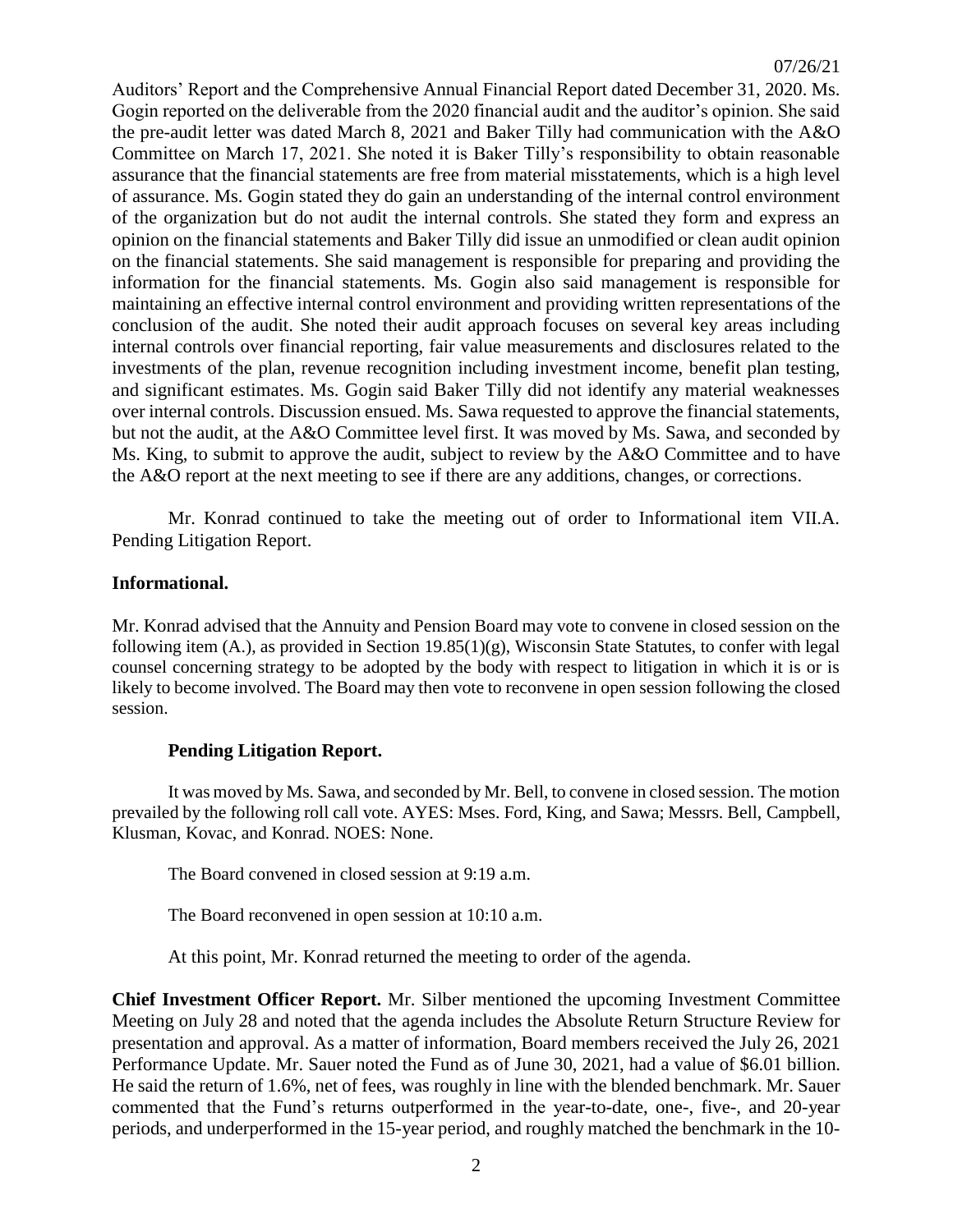Auditors' Report and the Comprehensive Annual Financial Report dated December 31, 2020. Ms. Gogin reported on the deliverable from the 2020 financial audit and the auditor's opinion. She said the pre-audit letter was dated March 8, 2021 and Baker Tilly had communication with the A&O Committee on March 17, 2021. She noted it is Baker Tilly's responsibility to obtain reasonable assurance that the financial statements are free from material misstatements, which is a high level of assurance. Ms. Gogin stated they do gain an understanding of the internal control environment of the organization but do not audit the internal controls. She stated they form and express an opinion on the financial statements and Baker Tilly did issue an unmodified or clean audit opinion on the financial statements. She said management is responsible for preparing and providing the information for the financial statements. Ms. Gogin also said management is responsible for maintaining an effective internal control environment and providing written representations of the conclusion of the audit. She noted their audit approach focuses on several key areas including internal controls over financial reporting, fair value measurements and disclosures related to the investments of the plan, revenue recognition including investment income, benefit plan testing, and significant estimates. Ms. Gogin said Baker Tilly did not identify any material weaknesses over internal controls. Discussion ensued. Ms. Sawa requested to approve the financial statements, but not the audit, at the A&O Committee level first. It was moved by Ms. Sawa, and seconded by Ms. King, to submit to approve the audit, subject to review by the A&O Committee and to have the A&O report at the next meeting to see if there are any additions, changes, or corrections.

Mr. Konrad continued to take the meeting out of order to Informational item VII.A. Pending Litigation Report.

### **Informational.**

Mr. Konrad advised that the Annuity and Pension Board may vote to convene in closed session on the following item (A.), as provided in Section  $19.85(1)(g)$ , Wisconsin State Statutes, to confer with legal counsel concerning strategy to be adopted by the body with respect to litigation in which it is or is likely to become involved. The Board may then vote to reconvene in open session following the closed session.

## **Pending Litigation Report.**

It was moved by Ms. Sawa, and seconded by Mr. Bell, to convene in closed session. The motion prevailed by the following roll call vote. AYES: Mses. Ford, King, and Sawa; Messrs. Bell, Campbell, Klusman, Kovac, and Konrad. NOES: None.

The Board convened in closed session at 9:19 a.m.

The Board reconvened in open session at 10:10 a.m.

At this point, Mr. Konrad returned the meeting to order of the agenda.

**Chief Investment Officer Report.** Mr. Silber mentioned the upcoming Investment Committee Meeting on July 28 and noted that the agenda includes the Absolute Return Structure Review for presentation and approval. As a matter of information, Board members received the July 26, 2021 Performance Update. Mr. Sauer noted the Fund as of June 30, 2021, had a value of \$6.01 billion. He said the return of 1.6%, net of fees, was roughly in line with the blended benchmark. Mr. Sauer commented that the Fund's returns outperformed in the year-to-date, one-, five-, and 20-year periods, and underperformed in the 15-year period, and roughly matched the benchmark in the 10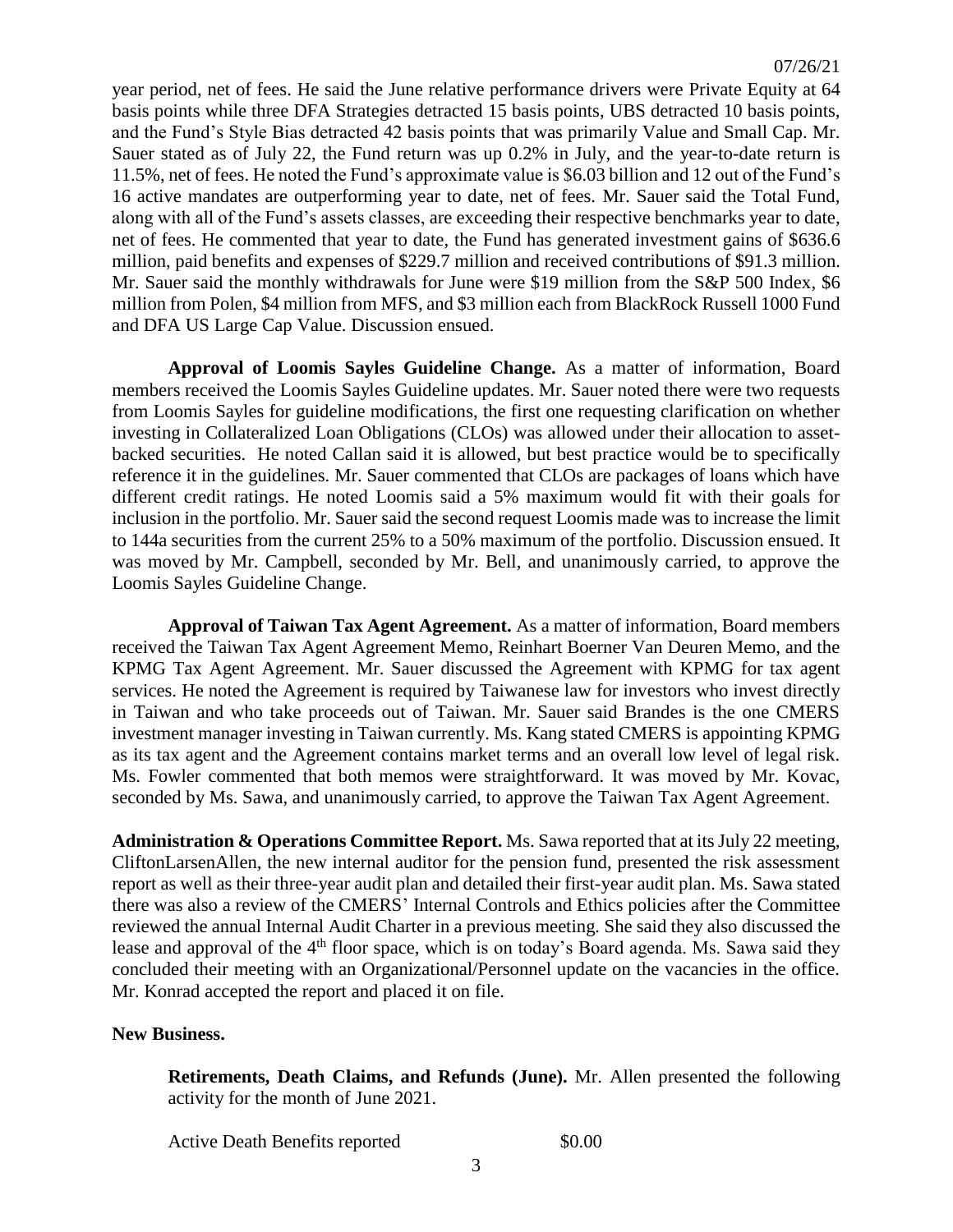year period, net of fees. He said the June relative performance drivers were Private Equity at 64 basis points while three DFA Strategies detracted 15 basis points, UBS detracted 10 basis points, and the Fund's Style Bias detracted 42 basis points that was primarily Value and Small Cap. Mr. Sauer stated as of July 22, the Fund return was up 0.2% in July, and the year-to-date return is 11.5%, net of fees. He noted the Fund's approximate value is \$6.03 billion and 12 out of the Fund's 16 active mandates are outperforming year to date, net of fees. Mr. Sauer said the Total Fund, along with all of the Fund's assets classes, are exceeding their respective benchmarks year to date, net of fees. He commented that year to date, the Fund has generated investment gains of \$636.6 million, paid benefits and expenses of \$229.7 million and received contributions of \$91.3 million. Mr. Sauer said the monthly withdrawals for June were \$19 million from the S&P 500 Index, \$6 million from Polen, \$4 million from MFS, and \$3 million each from BlackRock Russell 1000 Fund and DFA US Large Cap Value. Discussion ensued.

**Approval of Loomis Sayles Guideline Change.** As a matter of information, Board members received the Loomis Sayles Guideline updates. Mr. Sauer noted there were two requests from Loomis Sayles for guideline modifications, the first one requesting clarification on whether investing in Collateralized Loan Obligations (CLOs) was allowed under their allocation to assetbacked securities. He noted Callan said it is allowed, but best practice would be to specifically reference it in the guidelines. Mr. Sauer commented that CLOs are packages of loans which have different credit ratings. He noted Loomis said a 5% maximum would fit with their goals for inclusion in the portfolio. Mr. Sauer said the second request Loomis made was to increase the limit to 144a securities from the current 25% to a 50% maximum of the portfolio. Discussion ensued. It was moved by Mr. Campbell, seconded by Mr. Bell, and unanimously carried, to approve the Loomis Sayles Guideline Change.

**Approval of Taiwan Tax Agent Agreement.** As a matter of information, Board members received the Taiwan Tax Agent Agreement Memo, Reinhart Boerner Van Deuren Memo, and the KPMG Tax Agent Agreement. Mr. Sauer discussed the Agreement with KPMG for tax agent services. He noted the Agreement is required by Taiwanese law for investors who invest directly in Taiwan and who take proceeds out of Taiwan. Mr. Sauer said Brandes is the one CMERS investment manager investing in Taiwan currently. Ms. Kang stated CMERS is appointing KPMG as its tax agent and the Agreement contains market terms and an overall low level of legal risk. Ms. Fowler commented that both memos were straightforward. It was moved by Mr. Kovac, seconded by Ms. Sawa, and unanimously carried, to approve the Taiwan Tax Agent Agreement.

**Administration & Operations Committee Report.** Ms. Sawa reported that at its July 22 meeting, CliftonLarsenAllen, the new internal auditor for the pension fund, presented the risk assessment report as well as their three-year audit plan and detailed their first-year audit plan. Ms. Sawa stated there was also a review of the CMERS' Internal Controls and Ethics policies after the Committee reviewed the annual Internal Audit Charter in a previous meeting. She said they also discussed the lease and approval of the  $4<sup>th</sup>$  floor space, which is on today's Board agenda. Ms. Sawa said they concluded their meeting with an Organizational/Personnel update on the vacancies in the office. Mr. Konrad accepted the report and placed it on file.

#### **New Business.**

**Retirements, Death Claims, and Refunds (June).** Mr. Allen presented the following activity for the month of June 2021.

Active Death Benefits reported  $$0.00$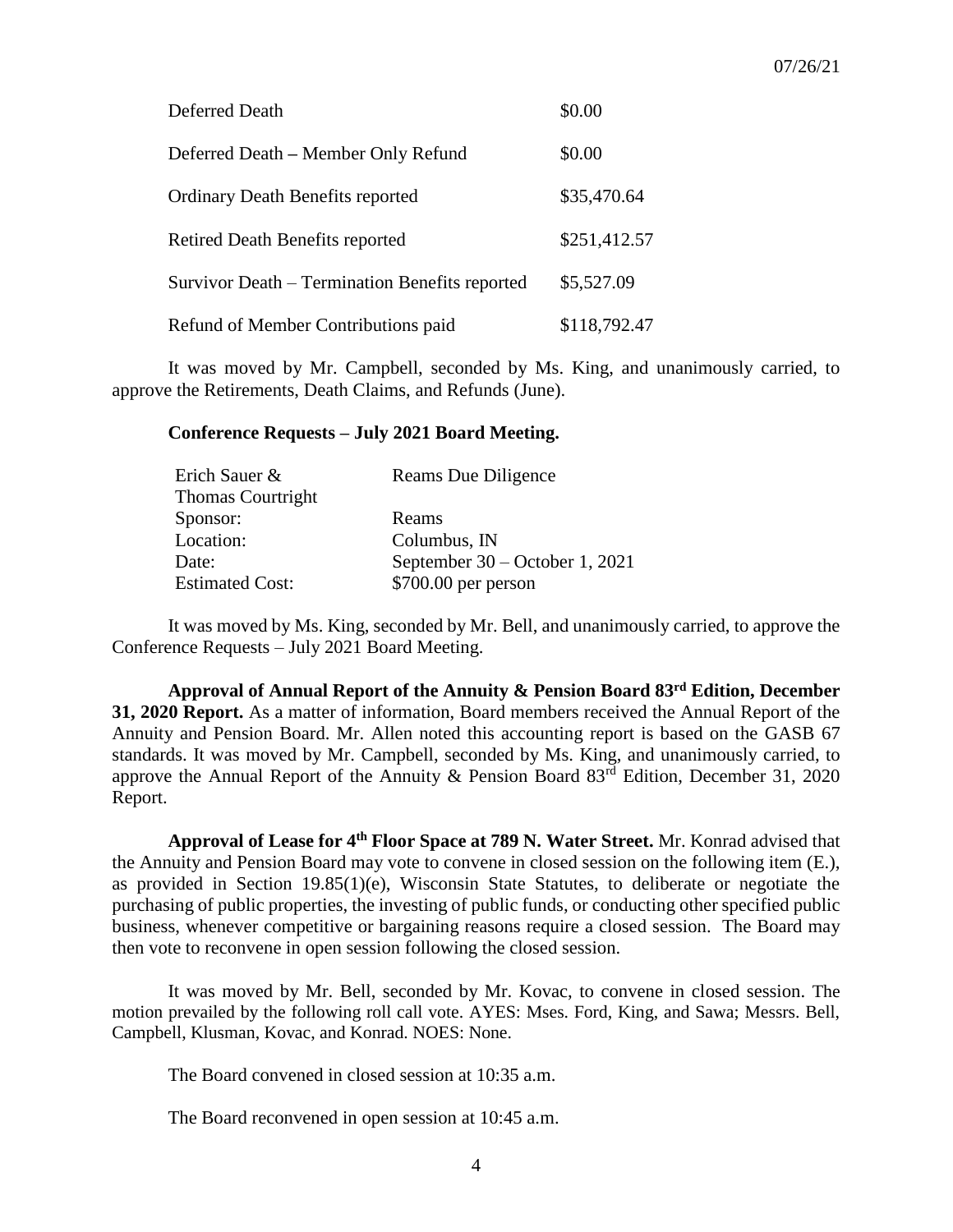| Deferred Death                                 | \$0.00       |
|------------------------------------------------|--------------|
| Deferred Death – Member Only Refund            | \$0.00       |
| <b>Ordinary Death Benefits reported</b>        | \$35,470.64  |
| <b>Retired Death Benefits reported</b>         | \$251,412.57 |
| Survivor Death – Termination Benefits reported | \$5,527.09   |
| Refund of Member Contributions paid            | \$118,792.47 |

It was moved by Mr. Campbell, seconded by Ms. King, and unanimously carried, to approve the Retirements, Death Claims, and Refunds (June).

#### **Conference Requests – July 2021 Board Meeting.**

| Erich Sauer &            | Reams Due Diligence              |
|--------------------------|----------------------------------|
| <b>Thomas Courtright</b> |                                  |
| Sponsor:                 | Reams                            |
| Location:                | Columbus, IN                     |
| Date:                    | September $30 - October 1, 2021$ |
| <b>Estimated Cost:</b>   | $$700.00$ per person             |

It was moved by Ms. King, seconded by Mr. Bell, and unanimously carried, to approve the Conference Requests – July 2021 Board Meeting.

**Approval of Annual Report of the Annuity & Pension Board 83rd Edition, December 31, 2020 Report.** As a matter of information, Board members received the Annual Report of the Annuity and Pension Board. Mr. Allen noted this accounting report is based on the GASB 67 standards. It was moved by Mr. Campbell, seconded by Ms. King, and unanimously carried, to approve the Annual Report of the Annuity & Pension Board  $83<sup>rd</sup>$  Edition, December 31, 2020 Report.

**Approval of Lease for 4th Floor Space at 789 N. Water Street.** Mr. Konrad advised that the Annuity and Pension Board may vote to convene in closed session on the following item (E.), as provided in Section 19.85(1)(e), Wisconsin State Statutes, to deliberate or negotiate the purchasing of public properties, the investing of public funds, or conducting other specified public business, whenever competitive or bargaining reasons require a closed session. The Board may then vote to reconvene in open session following the closed session.

It was moved by Mr. Bell, seconded by Mr. Kovac, to convene in closed session. The motion prevailed by the following roll call vote. AYES: Mses. Ford, King, and Sawa; Messrs. Bell, Campbell, Klusman, Kovac, and Konrad. NOES: None.

The Board convened in closed session at 10:35 a.m.

The Board reconvened in open session at 10:45 a.m.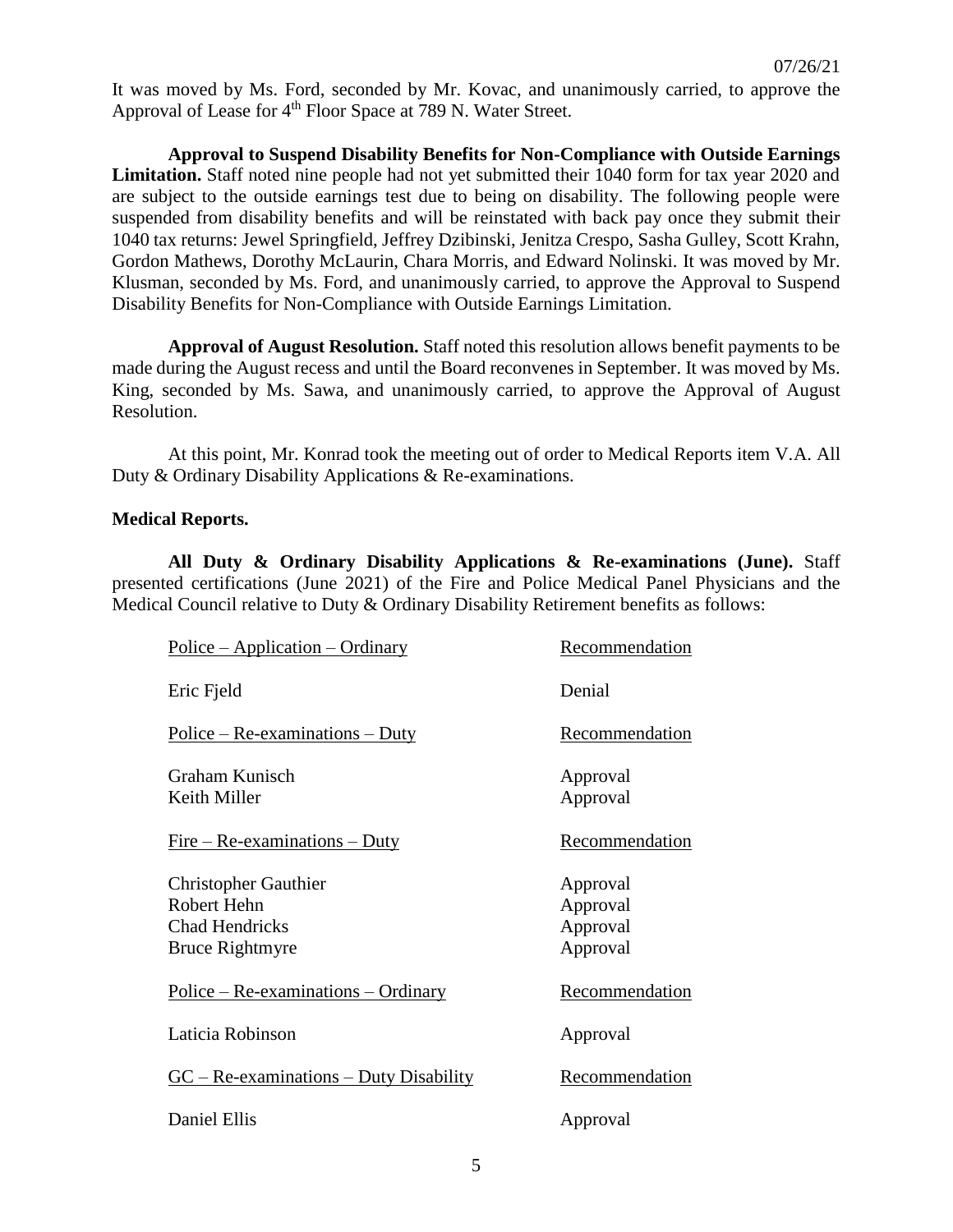It was moved by Ms. Ford, seconded by Mr. Kovac, and unanimously carried, to approve the Approval of Lease for 4<sup>th</sup> Floor Space at 789 N. Water Street.

**Approval to Suspend Disability Benefits for Non-Compliance with Outside Earnings Limitation.** Staff noted nine people had not yet submitted their 1040 form for tax year 2020 and are subject to the outside earnings test due to being on disability. The following people were suspended from disability benefits and will be reinstated with back pay once they submit their 1040 tax returns: Jewel Springfield, Jeffrey Dzibinski, Jenitza Crespo, Sasha Gulley, Scott Krahn, Gordon Mathews, Dorothy McLaurin, Chara Morris, and Edward Nolinski. It was moved by Mr. Klusman, seconded by Ms. Ford, and unanimously carried, to approve the Approval to Suspend Disability Benefits for Non-Compliance with Outside Earnings Limitation.

**Approval of August Resolution.** Staff noted this resolution allows benefit payments to be made during the August recess and until the Board reconvenes in September. It was moved by Ms. King, seconded by Ms. Sawa, and unanimously carried, to approve the Approval of August Resolution.

At this point, Mr. Konrad took the meeting out of order to Medical Reports item V.A. All Duty & Ordinary Disability Applications & Re-examinations.

## **Medical Reports.**

**All Duty & Ordinary Disability Applications & Re-examinations (June).** Staff presented certifications (June 2021) of the Fire and Police Medical Panel Physicians and the Medical Council relative to Duty & Ordinary Disability Retirement benefits as follows:

| $Police - Application - Ordinary$        | Recommendation |
|------------------------------------------|----------------|
| Eric Fjeld                               | Denial         |
| $Police - Re-examinations - Duty$        | Recommendation |
| Graham Kunisch                           | Approval       |
| Keith Miller                             | Approval       |
| $Fire - Re-examination - Duty$           | Recommendation |
| <b>Christopher Gauthier</b>              | Approval       |
| Robert Hehn                              | Approval       |
| Chad Hendricks                           | Approval       |
| <b>Bruce Rightmyre</b>                   | Approval       |
| $Police - Re-examinations - Ordinary$    | Recommendation |
| Laticia Robinson                         | Approval       |
| $GC - Re-examinations - Duty Disability$ | Recommendation |
| <b>Daniel Ellis</b>                      | Approval       |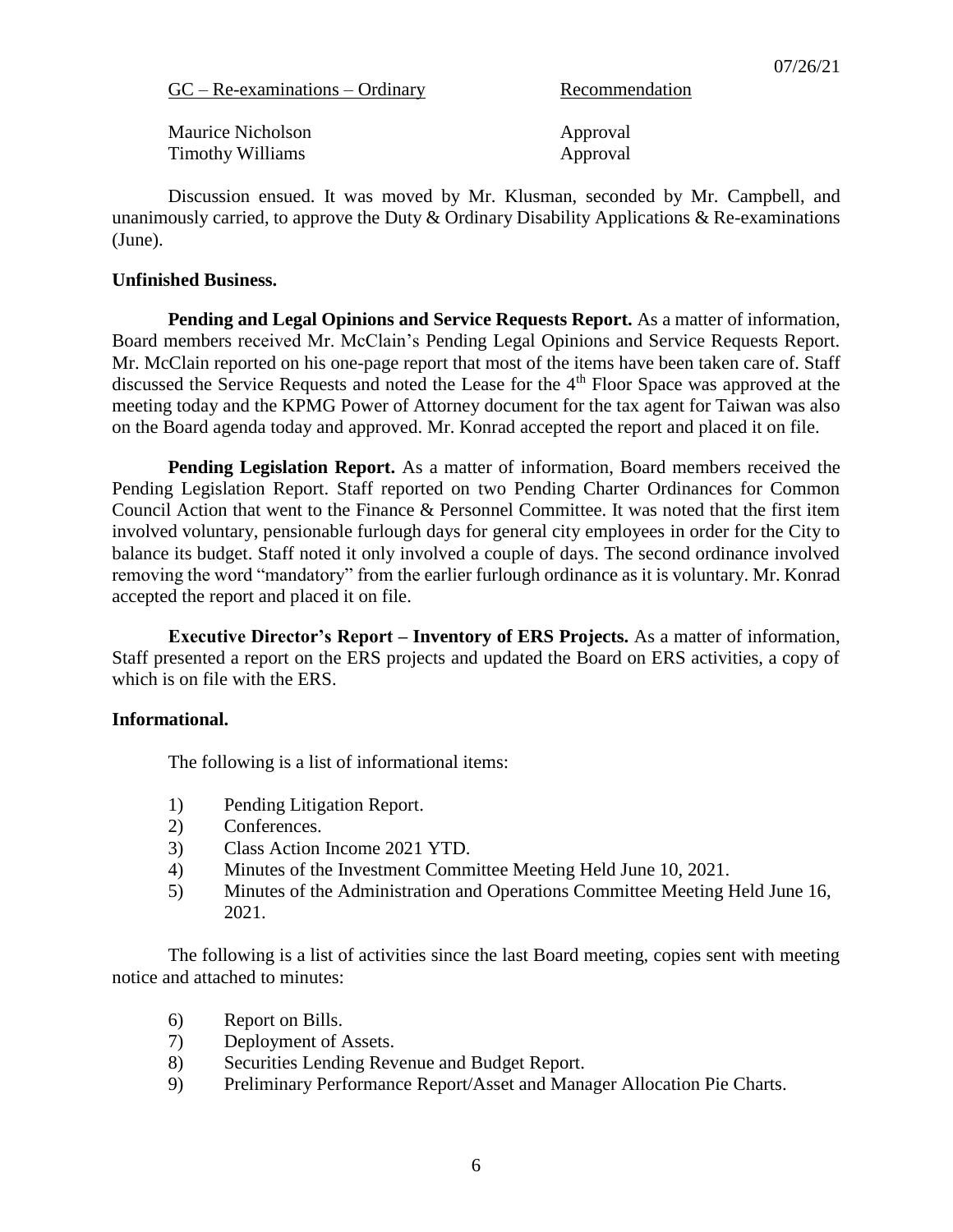| $GC - Re-examinations - Ordinary$ |  |
|-----------------------------------|--|
|                                   |  |

Recommendation

| <b>Maurice Nicholson</b> | Approval |
|--------------------------|----------|
| Timothy Williams         | Approval |

Discussion ensued. It was moved by Mr. Klusman, seconded by Mr. Campbell, and unanimously carried, to approve the Duty  $\&$  Ordinary Disability Applications  $\&$  Re-examinations (June).

### **Unfinished Business.**

**Pending and Legal Opinions and Service Requests Report.** As a matter of information, Board members received Mr. McClain's Pending Legal Opinions and Service Requests Report. Mr. McClain reported on his one-page report that most of the items have been taken care of. Staff discussed the Service Requests and noted the Lease for the 4<sup>th</sup> Floor Space was approved at the meeting today and the KPMG Power of Attorney document for the tax agent for Taiwan was also on the Board agenda today and approved. Mr. Konrad accepted the report and placed it on file.

**Pending Legislation Report.** As a matter of information, Board members received the Pending Legislation Report. Staff reported on two Pending Charter Ordinances for Common Council Action that went to the Finance & Personnel Committee. It was noted that the first item involved voluntary, pensionable furlough days for general city employees in order for the City to balance its budget. Staff noted it only involved a couple of days. The second ordinance involved removing the word "mandatory" from the earlier furlough ordinance as it is voluntary. Mr. Konrad accepted the report and placed it on file.

**Executive Director's Report – Inventory of ERS Projects.** As a matter of information, Staff presented a report on the ERS projects and updated the Board on ERS activities, a copy of which is on file with the ERS.

## **Informational.**

The following is a list of informational items:

- 1) Pending Litigation Report.
- 2) Conferences.
- 3) Class Action Income 2021 YTD.
- 4) Minutes of the Investment Committee Meeting Held June 10, 2021.
- 5) Minutes of the Administration and Operations Committee Meeting Held June 16, 2021.

The following is a list of activities since the last Board meeting, copies sent with meeting notice and attached to minutes:

- 6) Report on Bills.
- 7) Deployment of Assets.
- 8) Securities Lending Revenue and Budget Report.
- 9) Preliminary Performance Report/Asset and Manager Allocation Pie Charts.